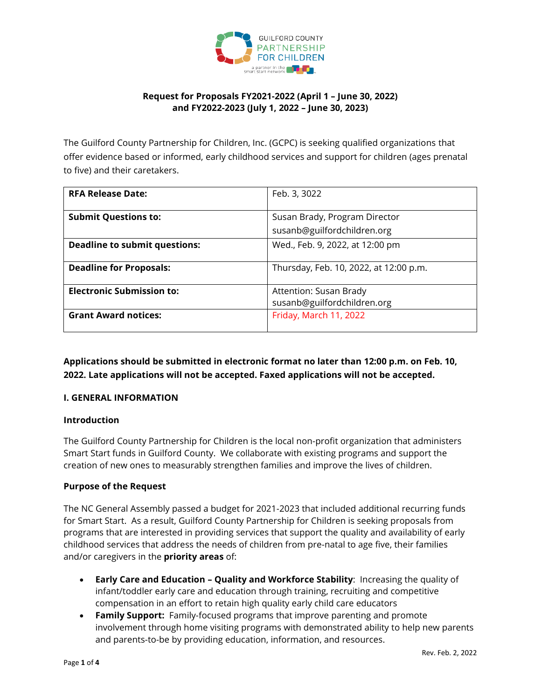

# **Request for Proposals FY2021-2022 (April 1 – June 30, 2022) and FY2022-2023 (July 1, 2022 – June 30, 2023)**

The Guilford County Partnership for Children, Inc. (GCPC) is seeking qualified organizations that offer evidence based or informed, early childhood services and support for children (ages prenatal to five) and their caretakers.

| <b>RFA Release Date:</b>             | Feb. 3, 3022                                                 |
|--------------------------------------|--------------------------------------------------------------|
| <b>Submit Questions to:</b>          | Susan Brady, Program Director<br>susanb@guilfordchildren.org |
| <b>Deadline to submit questions:</b> | Wed., Feb. 9, 2022, at 12:00 pm                              |
| <b>Deadline for Proposals:</b>       | Thursday, Feb. 10, 2022, at 12:00 p.m.                       |
| <b>Electronic Submission to:</b>     | Attention: Susan Brady<br>susanb@guilfordchildren.org        |
| <b>Grant Award notices:</b>          | Friday, March 11, 2022                                       |

**Applications should be submitted in electronic format no later than 12:00 p.m. on Feb. 10, 2022. Late applications will not be accepted. Faxed applications will not be accepted.** 

### **I. GENERAL INFORMATION**

### **Introduction**

The Guilford County Partnership for Children is the local non-profit organization that administers Smart Start funds in Guilford County. We collaborate with existing programs and support the creation of new ones to measurably strengthen families and improve the lives of children.

### **Purpose of the Request**

The NC General Assembly passed a budget for 2021-2023 that included additional recurring funds for Smart Start. As a result, Guilford County Partnership for Children is seeking proposals from programs that are interested in providing services that support the quality and availability of early childhood services that address the needs of children from pre-natal to age five, their families and/or caregivers in the **priority areas** of:

- **Early Care and Education – Quality and Workforce Stability**: Increasing the quality of infant/toddler early care and education through training, recruiting and competitive compensation in an effort to retain high quality early child care educators
- **Family Support:** Family-focused programs that improve parenting and promote involvement through home visiting programs with demonstrated ability to help new parents and parents-to-be by providing education, information, and resources.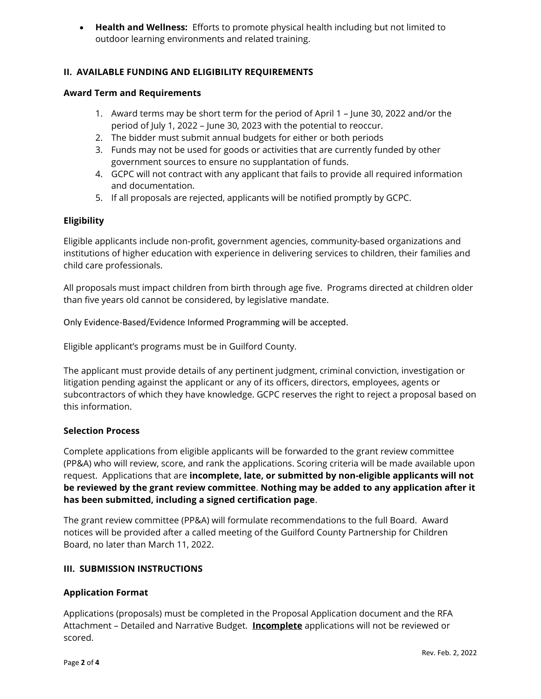• **Health and Wellness:** Efforts to promote physical health including but not limited to outdoor learning environments and related training.

## **II. AVAILABLE FUNDING AND ELIGIBILITY REQUIREMENTS**

#### **Award Term and Requirements**

- 1. Award terms may be short term for the period of April 1 June 30, 2022 and/or the period of July 1, 2022 – June 30, 2023 with the potential to reoccur.
- 2. The bidder must submit annual budgets for either or both periods
- 3. Funds may not be used for goods or activities that are currently funded by other government sources to ensure no supplantation of funds.
- 4. GCPC will not contract with any applicant that fails to provide all required information and documentation.
- 5. If all proposals are rejected, applicants will be notified promptly by GCPC.

### **Eligibility**

Eligible applicants include non-profit, government agencies, community-based organizations and institutions of higher education with experience in delivering services to children, their families and child care professionals.

All proposals must impact children from birth through age five. Programs directed at children older than five years old cannot be considered, by legislative mandate.

Only Evidence-Based/Evidence Informed Programming will be accepted.

Eligible applicant's programs must be in Guilford County.

The applicant must provide details of any pertinent judgment, criminal conviction, investigation or litigation pending against the applicant or any of its officers, directors, employees, agents or subcontractors of which they have knowledge. GCPC reserves the right to reject a proposal based on this information.

#### **Selection Process**

Complete applications from eligible applicants will be forwarded to the grant review committee (PP&A) who will review, score, and rank the applications. Scoring criteria will be made available upon request. Applications that are **incomplete, late, or submitted by non-eligible applicants will not be reviewed by the grant review committee**. **Nothing may be added to any application after it has been submitted, including a signed certification page**.

The grant review committee (PP&A) will formulate recommendations to the full Board. Award notices will be provided after a called meeting of the Guilford County Partnership for Children Board, no later than March 11, 2022.

### **III. SUBMISSION INSTRUCTIONS**

### **Application Format**

Applications (proposals) must be completed in the Proposal Application document and the RFA Attachment – Detailed and Narrative Budget. **Incomplete** applications will not be reviewed or scored.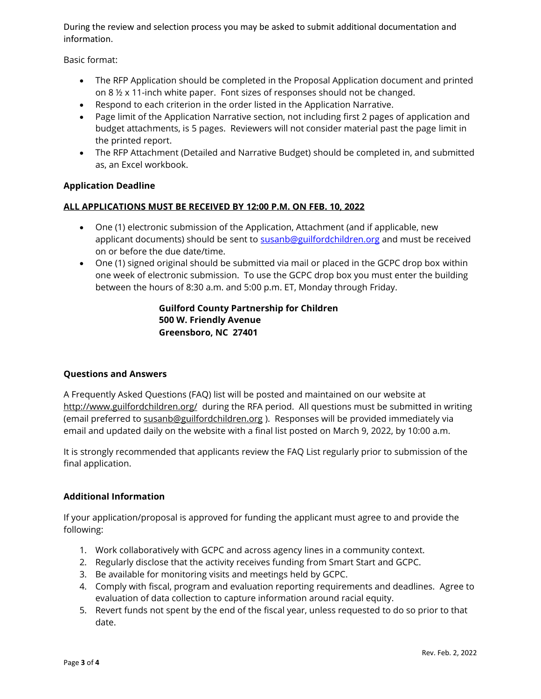During the review and selection process you may be asked to submit additional documentation and information.

Basic format:

- The RFP Application should be completed in the Proposal Application document and printed on 8 ½ x 11-inch white paper. Font sizes of responses should not be changed.
- Respond to each criterion in the order listed in the Application Narrative.
- Page limit of the Application Narrative section, not including first 2 pages of application and budget attachments, is 5 pages. Reviewers will not consider material past the page limit in the printed report.
- The RFP Attachment (Detailed and Narrative Budget) should be completed in, and submitted as, an Excel workbook.

### **Application Deadline**

### **ALL APPLICATIONS MUST BE RECEIVED BY 12:00 P.M. ON FEB. 10, 2022**

- One (1) electronic submission of the Application, Attachment (and if applicable, new applicant documents) should be sent to [susanb@guilfordchildren.org](mailto:susanb@guilfordchildren.org) and must be received on or before the due date/time.
- One (1) signed original should be submitted via mail or placed in the GCPC drop box within one week of electronic submission. To use the GCPC drop box you must enter the building between the hours of 8:30 a.m. and 5:00 p.m. ET, Monday through Friday.

# **Guilford County Partnership for Children 500 W. Friendly Avenue Greensboro, NC 27401**

### **Questions and Answers**

A Frequently Asked Questions (FAQ) list will be posted and maintained on our website at <http://www.guilfordchildren.org/>during the RFA period. All questions must be submitted in writing (email preferred to [susanb@guilfordchildren.org](mailto:susanb@guilfordchildren.org) ). Responses will be provided immediately via email and updated daily on the website with a final list posted on March 9, 2022, by 10:00 a.m.

It is strongly recommended that applicants review the FAQ List regularly prior to submission of the final application.

### **Additional Information**

If your application/proposal is approved for funding the applicant must agree to and provide the following:

- 1. Work collaboratively with GCPC and across agency lines in a community context.
- 2. Regularly disclose that the activity receives funding from Smart Start and GCPC.
- 3. Be available for monitoring visits and meetings held by GCPC.
- 4. Comply with fiscal, program and evaluation reporting requirements and deadlines. Agree to evaluation of data collection to capture information around racial equity.
- 5. Revert funds not spent by the end of the fiscal year, unless requested to do so prior to that date.